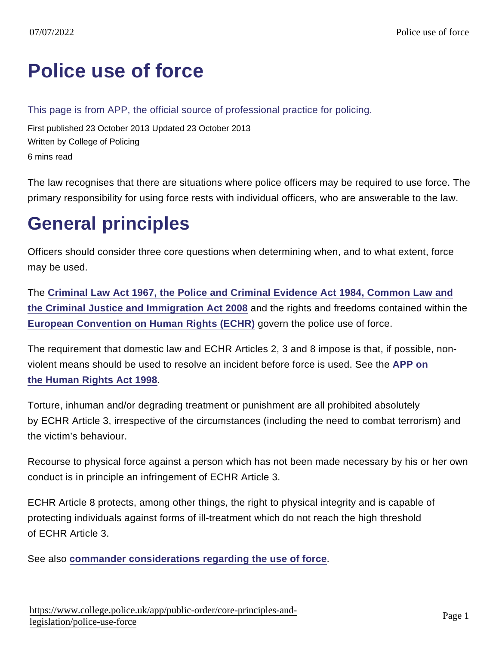# [Police use of force](https://www.college.police.uk/app/public-order/core-principles-and-legislation/police-use-force)

This page is from APP, the official source of professional practice for policing.

First published 23 October 2013 Updated 23 October 2013 Written by College of Policing 6 mins read

The law recognises that there are situations where police officers may be required to use force. The primary responsibility for using force rests with individual officers, who are answerable to the law.

# General principles

Officers should consider three core questions when determining when, and to what extent, force may be used.

The [Criminal Law Act 1967, the Police and Criminal Evidence Act 1984, Common Law and](https://www.app.college.police.uk/app-content/public-order/core-principles-and-legislation/police-use-of-force/#the-criminal-law-act-1967-the-police-and-criminal-evidence-act-1984-common-law-and-the-criminal-justice-and-immigration-act-2008) [the Criminal Justice and Immigration Act 2008](https://www.app.college.police.uk/app-content/public-order/core-principles-and-legislation/police-use-of-force/#the-criminal-law-act-1967-the-police-and-criminal-evidence-act-1984-common-law-and-the-criminal-justice-and-immigration-act-2008) and the rights and freedoms contained within the [European Convention on Human Rights \(ECHR\)](https://www.app.college.police.uk/app-content/public-order/core-principles-and-legislation/police-use-of-force/#european-court-of-human-rights) govern the police use of force.

The requirement that domestic law and ECHR Articles 2, 3 and 8 impose is that, if possible, nonviolent means should be used to resolve an incident before force is used. See the [APP on](https://www.app.college.police.uk/app-content/operations/operational-planning/core-principles/#human-rights-act-1998) [the Human Rights Act 1998](https://www.app.college.police.uk/app-content/operations/operational-planning/core-principles/#human-rights-act-1998) .

Torture, inhuman and/or degrading treatment or punishment are all prohibited absolutely by ECHR Article 3, irrespective of the circumstances (including the need to combat terrorism) and the victim's behaviour.

Recourse to physical force against a person which has not been made necessary by his or her own conduct is in principle an infringement of ECHR Article 3.

ECHR Article 8 protects, among other things, the right to physical integrity and is capable of protecting individuals against forms of ill-treatment which do not reach the high threshold of ECHR Article 3.

See also [commander considerations regarding the use of force](https://www.app.college.police.uk/app-content/public-order/core-principles-and-legislation/police-use-of-force/#commander-considerations-regarding-use-of-force)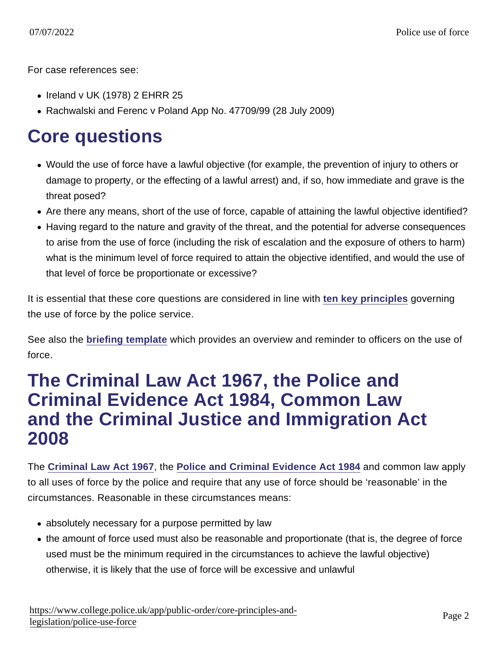For case references see:

- Ireland v UK (1978) 2 EHRR 25
- Rachwalski and Ferenc v Poland App No. 47709/99 (28 July 2009)

## Core questions

- Would the use of force have a lawful objective (for example, the prevention of injury to others or damage to property, or the effecting of a lawful arrest) and, if so, how immediate and grave is the threat posed?
- Are there any means, short of the use of force, capable of attaining the lawful objective identified?
- Having regard to the nature and gravity of the threat, and the potential for adverse consequences to arise from the use of force (including the risk of escalation and the exposure of others to harm) what is the minimum level of force required to attain the objective identified, and would the use of that level of force be proportionate or excessive?

It is essential that these core questions are considered in line with [ten key principles](https://library.college.police.uk/docs/APPref/use-of-force-principles.pdf) governing the use of force by the police service.

See also the [briefing template](https://library.college.police.uk/docs/APPref/use-of-force-briefing.pdf) which provides an overview and reminder to officers on the use of force.

#### The Criminal Law Act 1967, the Police and Criminal Evidence Act 1984, Common Law and the Criminal Justice and Immigration Act 2008

The [Criminal Law Act 1967](http://www.legislation.gov.uk/ukpga/1967/58/contents) , the [Police and Criminal Evidence Act 1984](http://www.legislation.gov.uk/ukpga/1984/60/contents) and common law apply to all uses of force by the police and require that any use of force should be 'reasonable' in the circumstances. Reasonable in these circumstances means:

- absolutely necessary for a purpose permitted by law
- the amount of force used must also be reasonable and proportionate (that is, the degree of force used must be the minimum required in the circumstances to achieve the lawful objective) otherwise, it is likely that the use of force will be excessive and unlawful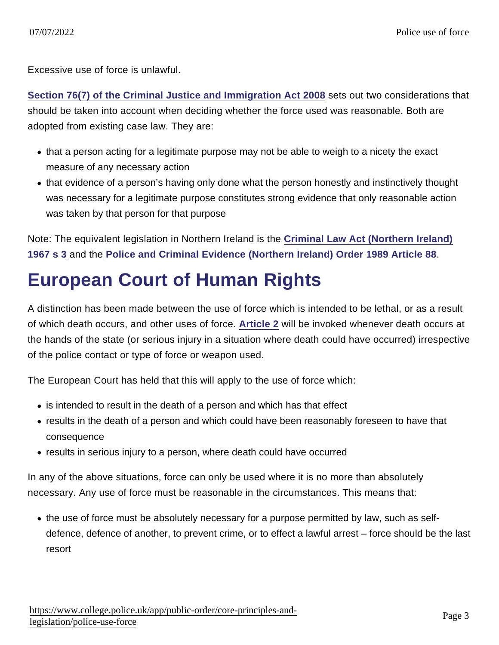Excessive use of force is unlawful.

[Section 76\(7\) of the Criminal Justice and Immigration Act 2008](http://www.legislation.gov.uk/ukpga/2008/4/section/76) sets out two considerations that should be taken into account when deciding whether the force used was reasonable. Both are adopted from existing case law. They are:

- that a person acting for a legitimate purpose may not be able to weigh to a nicety the exact measure of any necessary action
- that evidence of a person's having only done what the person honestly and instinctively thought was necessary for a legitimate purpose constitutes strong evidence that only reasonable action was taken by that person for that purpose

Note: The equivalent legislation in Northern Ireland is the [Criminal Law Act \(Northern Ireland\)](http://www.legislation.gov.uk/apni/1967/18/section/3) [1967 s 3](http://www.legislation.gov.uk/apni/1967/18/section/3) and the [Police and Criminal Evidence \(Northern Ireland\) Order 1989 Article 88](http://www.legislation.gov.uk/nisi/1989/1341/article/88).

# European Court of Human Rights

A distinction has been made between the use of force which is intended to be lethal, or as a result of which death occurs, and other uses of force. [Article 2](https://www.app.college.police.uk/app-content/operations/operational-planning/core-principles/#human-rights-act-1998) will be invoked whenever death occurs at the hands of the state (or serious injury in a situation where death could have occurred) irrespective of the police contact or type of force or weapon used.

The European Court has held that this will apply to the use of force which:

- is intended to result in the death of a person and which has that effect
- results in the death of a person and which could have been reasonably foreseen to have that consequence
- results in serious injury to a person, where death could have occurred

In any of the above situations, force can only be used where it is no more than absolutely necessary. Any use of force must be reasonable in the circumstances. This means that:

the use of force must be absolutely necessary for a purpose permitted by law, such as selfdefence, defence of another, to prevent crime, or to effect a lawful arrest – force should be the last resort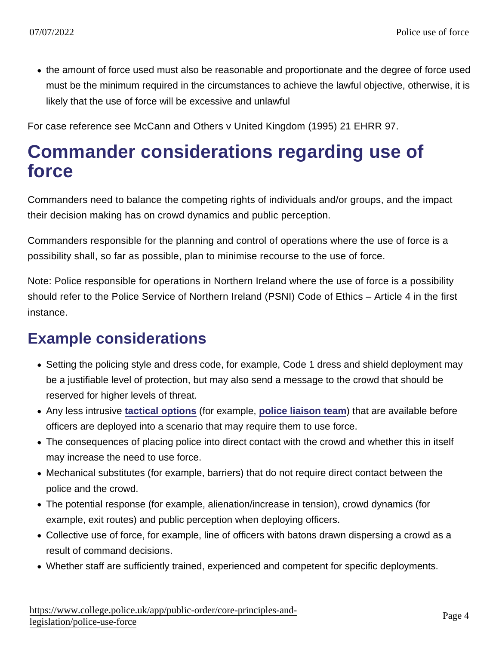• the amount of force used must also be reasonable and proportionate and the degree of force used must be the minimum required in the circumstances to achieve the lawful objective, otherwise, it is likely that the use of force will be excessive and unlawful

For case reference see McCann and Others v United Kingdom (1995) 21 EHRR 97.

### Commander considerations regarding use of force

Commanders need to balance the competing rights of individuals and/or groups, and the impact their decision making has on crowd dynamics and public perception.

Commanders responsible for the planning and control of operations where the use of force is a possibility shall, so far as possible, plan to minimise recourse to the use of force.

Note: Police responsible for operations in Northern Ireland where the use of force is a possibility should refer to the Police Service of Northern Ireland (PSNI) Code of Ethics – Article 4 in the first instance.

#### Example considerations

- Setting the policing style and dress code, for example, Code 1 dress and shield deployment may be a justifiable level of protection, but may also send a message to the crowd that should be reserved for higher levels of threat.
- Any less intrusive [tactical options](https://www.app.college.police.uk/app-content/public-order/planning-and-deployment/tactical-options/) (for example, [police liaison team](https://www.app.college.police.uk/app-content/public-order/planning-and-deployment/tactical-options/#police-liaison-team) ) that are available before officers are deployed into a scenario that may require them to use force.
- The consequences of placing police into direct contact with the crowd and whether this in itself may increase the need to use force.
- Mechanical substitutes (for example, barriers) that do not require direct contact between the police and the crowd.
- The potential response (for example, alienation/increase in tension), crowd dynamics (for example, exit routes) and public perception when deploying officers.
- Collective use of force, for example, line of officers with batons drawn dispersing a crowd as a result of command decisions.
- Whether staff are sufficiently trained, experienced and competent for specific deployments.